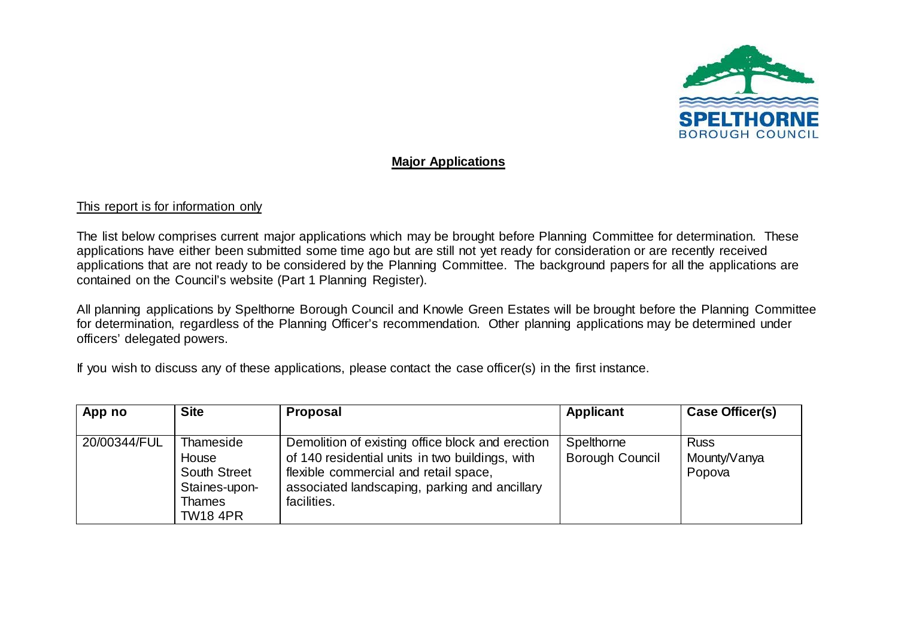

## **Major Applications**

## This report is for information only

The list below comprises current major applications which may be brought before Planning Committee for determination. These applications have either been submitted some time ago but are still not yet ready for consideration or are recently received applications that are not ready to be considered by the Planning Committee. The background papers for all the applications are contained on the Council's website (Part 1 Planning Register).

All planning applications by Spelthorne Borough Council and Knowle Green Estates will be brought before the Planning Committee for determination, regardless of the Planning Officer's recommendation. Other planning applications may be determined under officers' delegated powers.

If you wish to discuss any of these applications, please contact the case officer(s) in the first instance.

| <b>Site</b><br>App no                                                                                          | <b>Proposal</b>                                                                                                                                                                                              | <b>Applicant</b>              | Case Officer(s)                       |
|----------------------------------------------------------------------------------------------------------------|--------------------------------------------------------------------------------------------------------------------------------------------------------------------------------------------------------------|-------------------------------|---------------------------------------|
| 20/00344/FUL<br>Thameside<br>House<br><b>South Street</b><br>Staines-upon-<br><b>Thames</b><br><b>TW18 4PR</b> | Demolition of existing office block and erection<br>of 140 residential units in two buildings, with<br>flexible commercial and retail space,<br>associated landscaping, parking and ancillary<br>facilities. | Spelthorne<br>Borough Council | <b>Russ</b><br>Mounty/Vanya<br>Popova |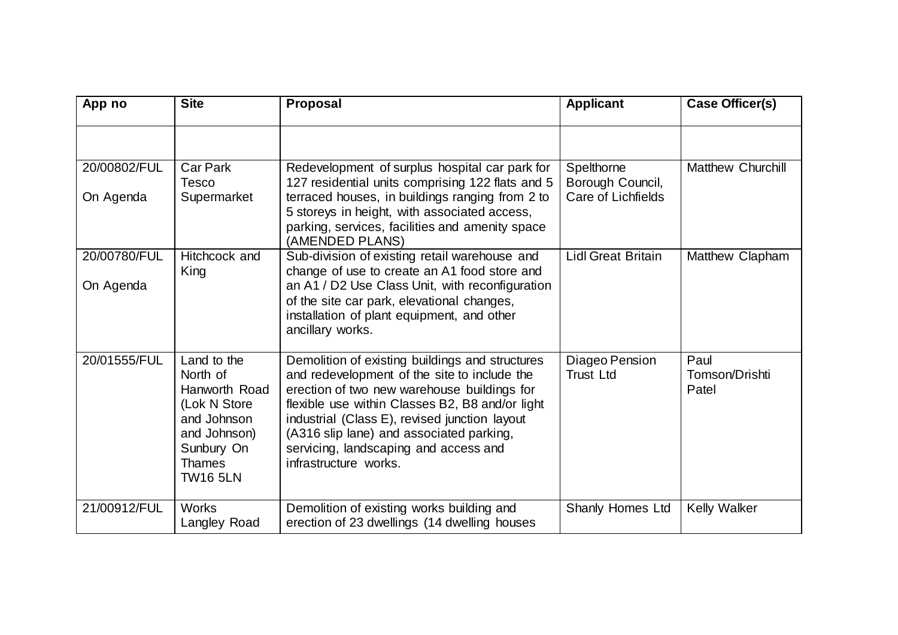| App no                    | <b>Site</b>                                                                                                                               | <b>Proposal</b>                                                                                                                                                                                                                                                                                                                                                  | <b>Applicant</b>                                     | Case Officer(s)                 |
|---------------------------|-------------------------------------------------------------------------------------------------------------------------------------------|------------------------------------------------------------------------------------------------------------------------------------------------------------------------------------------------------------------------------------------------------------------------------------------------------------------------------------------------------------------|------------------------------------------------------|---------------------------------|
|                           |                                                                                                                                           |                                                                                                                                                                                                                                                                                                                                                                  |                                                      |                                 |
| 20/00802/FUL<br>On Agenda | <b>Car Park</b><br>Tesco<br>Supermarket                                                                                                   | Redevelopment of surplus hospital car park for<br>127 residential units comprising 122 flats and 5<br>terraced houses, in buildings ranging from 2 to<br>5 storeys in height, with associated access,<br>parking, services, facilities and amenity space<br>(AMENDED PLANS)                                                                                      | Spelthorne<br>Borough Council,<br>Care of Lichfields | <b>Matthew Churchill</b>        |
| 20/00780/FUL<br>On Agenda | Hitchcock and<br>King                                                                                                                     | Sub-division of existing retail warehouse and<br>change of use to create an A1 food store and<br>an A1 / D2 Use Class Unit, with reconfiguration<br>of the site car park, elevational changes,<br>installation of plant equipment, and other<br>ancillary works.                                                                                                 | <b>Lidl Great Britain</b>                            | Matthew Clapham                 |
| 20/01555/FUL              | Land to the<br>North of<br>Hanworth Road<br>(Lok N Store<br>and Johnson<br>and Johnson)<br>Sunbury On<br><b>Thames</b><br><b>TW16 5LN</b> | Demolition of existing buildings and structures<br>and redevelopment of the site to include the<br>erection of two new warehouse buildings for<br>flexible use within Classes B2, B8 and/or light<br>industrial (Class E), revised junction layout<br>(A316 slip lane) and associated parking,<br>servicing, landscaping and access and<br>infrastructure works. | Diageo Pension<br><b>Trust Ltd</b>                   | Paul<br>Tomson/Drishti<br>Patel |
| 21/00912/FUL              | <b>Works</b><br>Langley Road                                                                                                              | Demolition of existing works building and<br>erection of 23 dwellings (14 dwelling houses                                                                                                                                                                                                                                                                        | Shanly Homes Ltd                                     | <b>Kelly Walker</b>             |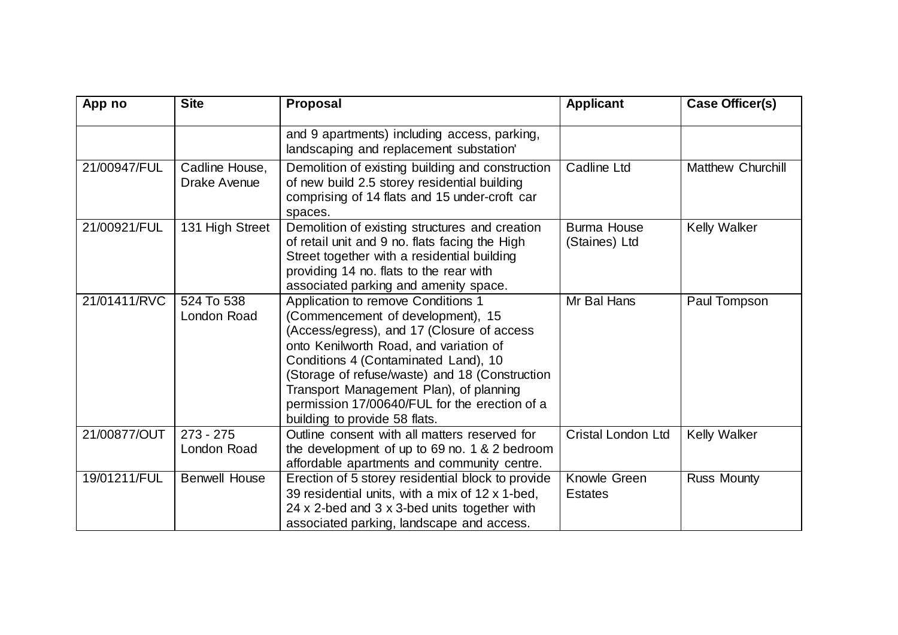| App no       | <b>Site</b>                    | <b>Proposal</b>                                                                                                                                                                                                                                                                                                                                                                        | <b>Applicant</b>                    | Case Officer(s)          |
|--------------|--------------------------------|----------------------------------------------------------------------------------------------------------------------------------------------------------------------------------------------------------------------------------------------------------------------------------------------------------------------------------------------------------------------------------------|-------------------------------------|--------------------------|
|              |                                | and 9 apartments) including access, parking,<br>landscaping and replacement substation'                                                                                                                                                                                                                                                                                                |                                     |                          |
| 21/00947/FUL | Cadline House,<br>Drake Avenue | Demolition of existing building and construction<br>of new build 2.5 storey residential building<br>comprising of 14 flats and 15 under-croft car<br>spaces.                                                                                                                                                                                                                           | Cadline Ltd                         | <b>Matthew Churchill</b> |
| 21/00921/FUL | 131 High Street                | Demolition of existing structures and creation<br>of retail unit and 9 no. flats facing the High<br>Street together with a residential building<br>providing 14 no. flats to the rear with<br>associated parking and amenity space.                                                                                                                                                    | <b>Burma House</b><br>(Staines) Ltd | <b>Kelly Walker</b>      |
| 21/01411/RVC | 524 To 538<br>London Road      | Application to remove Conditions 1<br>(Commencement of development), 15<br>(Access/egress), and 17 (Closure of access<br>onto Kenilworth Road, and variation of<br>Conditions 4 (Contaminated Land), 10<br>(Storage of refuse/waste) and 18 (Construction<br>Transport Management Plan), of planning<br>permission 17/00640/FUL for the erection of a<br>building to provide 58 flats. | Mr Bal Hans                         | Paul Tompson             |
| 21/00877/OUT | $273 - 275$<br>London Road     | Outline consent with all matters reserved for<br>the development of up to 69 no. 1 & 2 bedroom<br>affordable apartments and community centre.                                                                                                                                                                                                                                          | <b>Cristal London Ltd</b>           | <b>Kelly Walker</b>      |
| 19/01211/FUL | <b>Benwell House</b>           | Erection of 5 storey residential block to provide<br>39 residential units, with a mix of 12 x 1-bed,<br>24 x 2-bed and 3 x 3-bed units together with<br>associated parking, landscape and access.                                                                                                                                                                                      | Knowle Green<br><b>Estates</b>      | <b>Russ Mounty</b>       |